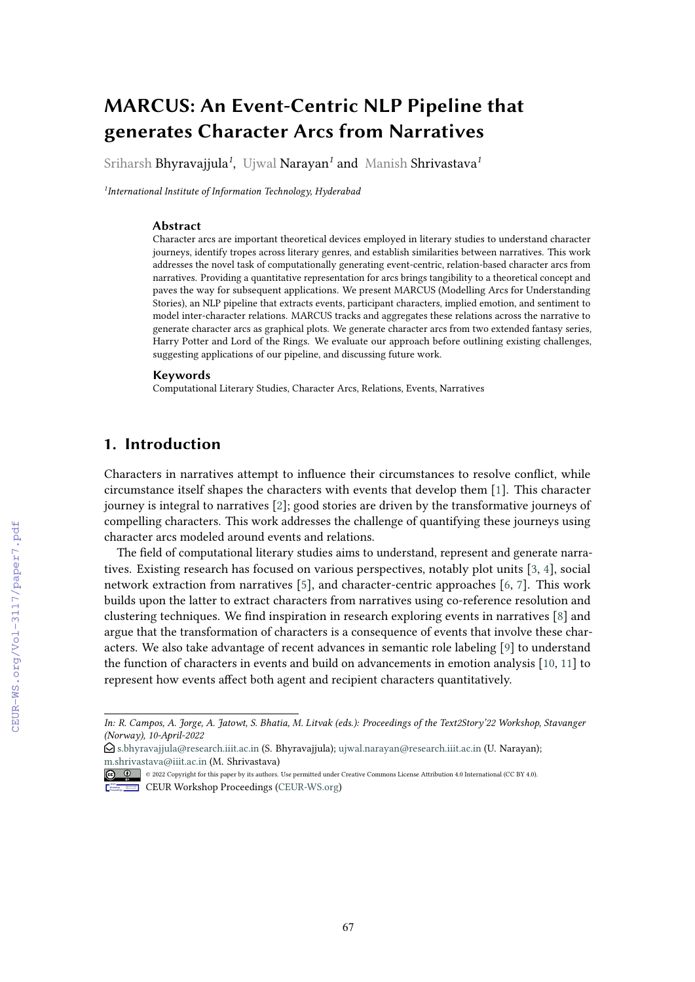# **MARCUS: An Event-Centric NLP Pipeline that generates Character Arcs from Narratives**

Sriharsh Bhyravajjula*<sup>1</sup>* , Ujwal Narayan*<sup>1</sup>* and Manish Shrivastava*<sup>1</sup>*

*1 International Institute of Information Technology, Hyderabad*

#### **Abstract**

Character arcs are important theoretical devices employed in literary studies to understand character journeys, identify tropes across literary genres, and establish similarities between narratives. This work addresses the novel task of computationally generating event-centric, relation-based character arcs from narratives. Providing a quantitative representation for arcs brings tangibility to a theoretical concept and paves the way for subsequent applications. We present MARCUS (Modelling Arcs for Understanding Stories), an NLP pipeline that extracts events, participant characters, implied emotion, and sentiment to model inter-character relations. MARCUS tracks and aggregates these relations across the narrative to generate character arcs as graphical plots. We generate character arcs from two extended fantasy series, Harry Potter and Lord of the Rings. We evaluate our approach before outlining existing challenges, suggesting applications of our pipeline, and discussing future work.

#### **Keywords**

Computational Literary Studies, Character Arcs, Relations, Events, Narratives

# **1. Introduction**

Characters in narratives attempt to infuence their circumstances to resolve confict, while circumstance itself shapes the characters with events that develop them [\[1\]](#page--1-0). This character journey is integral to narratives [\[2\]](#page--1-1); good stories are driven by the transformative journeys of compelling characters. This work addresses the challenge of quantifying these journeys using character arcs modeled around events and relations.

The feld of computational literary studies aims to understand, represent and generate narratives. Existing research has focused on various perspectives, notably plot units [\[3,](#page--1-2) [4\]](#page--1-3), social network extraction from narratives [\[5\]](#page--1-4), and character-centric approaches [\[6,](#page--1-5) [7\]](#page--1-6). This work builds upon the latter to extract characters from narratives using co-reference resolution and clustering techniques. We fnd inspiration in research exploring events in narratives [\[8\]](#page--1-7) and argue that the transformation of characters is a consequence of events that involve these characters. We also take advantage of recent advances in semantic role labeling [\[9\]](#page--1-8) to understand the function of characters in events and build on advancements in emotion analysis [\[10,](#page--1-9) [11\]](#page--1-10) to represent how events afect both agent and recipient characters quantitatively.

*In: R. Campos, A. Jorge, A. Jatowt, S. Bhatia, M. Litvak (eds.): Proceedings of the Text2Story'22 Workshop, Stavanger (Norway), 10-April-2022*

 $\bigcirc$ [s.bhyravajjula@research.iiit.ac.in](mailto:s.bhyravajjula@research.iiit.ac.in) (S. Bhyravajjula); [ujwal.narayan@research.iiit.ac.in](mailto:ujwal.narayan@research.iiit.ac.in) (U. Narayan); [m.shrivastava@iiit.ac.in](mailto:m.shrivastava@iiit.ac.in) (M. Shrivastava)

<sup>© 2022</sup> Copyright for this paper by its authors. Use permitted under Creative Commons License Attribution 4.0 International (CC BY 4.0). CEUR Workshop [Proceedings](http://ceur-ws.org) [\(CEUR-WS.org\)](http://ceur-ws.org)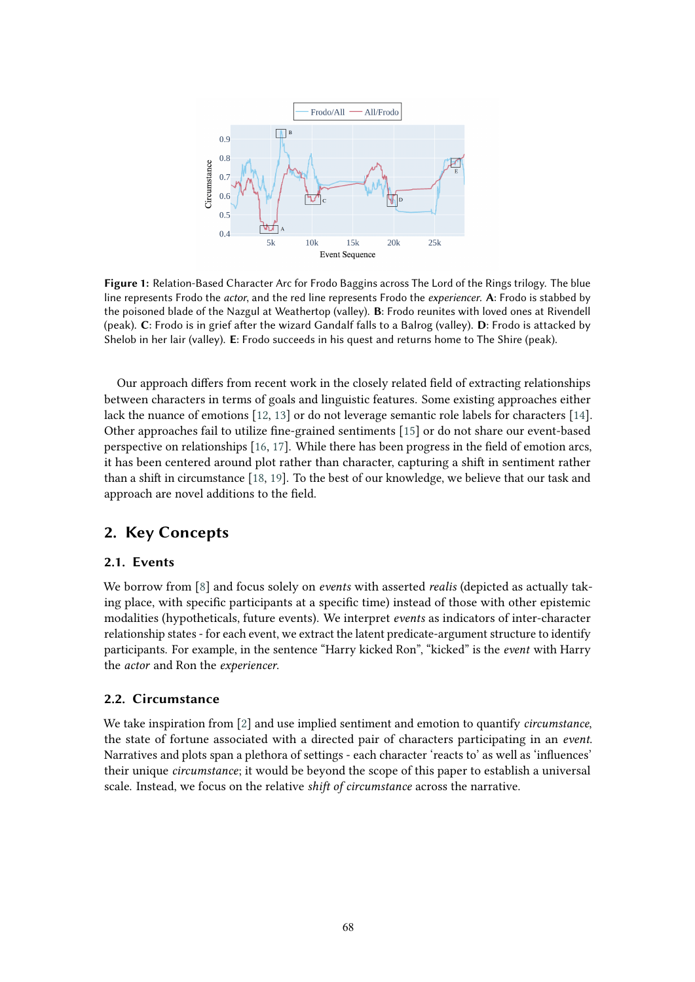<span id="page-1-0"></span>

**Figure 1:** Relation-Based Character Arc for Frodo Baggins across The Lord of the Rings trilogy. The blue line represents Frodo the *actor*, and the red line represents Frodo the *experiencer*. **A**: Frodo is stabbed by the poisoned blade of the Nazgul at Weathertop (valley). **B**: Frodo reunites with loved ones at Rivendell (peak). **C**: Frodo is in grief afer the wizard Gandalf falls to a Balrog (valley). **D**: Frodo is attacked by Shelob in her lair (valley). **E**: Frodo succeeds in his quest and returns home to The Shire (peak).

Our approach difers from recent work in the closely related feld of extracting relationships between characters in terms of goals and linguistic features. Some existing approaches either lack the nuance of emotions [\[12,](#page-7-0) [13\]](#page-7-1) or do not leverage semantic role labels for characters [\[14\]](#page-7-2). Other approaches fail to utilize fne-grained sentiments [\[15\]](#page-7-3) or do not share our event-based perspective on relationships [\[16,](#page-7-4) [17\]](#page-7-5). While there has been progress in the feld of emotion arcs, it has been centered around plot rather than character, capturing a shif in sentiment rather than a shift in circumstance [\[18,](#page-7-6) [19\]](#page-7-7). To the best of our knowledge, we believe that our task and approach are novel additions to the feld.

# **2. Key Concepts**

### **2.1. Events**

We borrow from [\[8\]](#page-7-8) and focus solely on *events* with asserted *realis* (depicted as actually taking place, with specifc participants at a specifc time) instead of those with other epistemic modalities (hypotheticals, future events). We interpret *events* as indicators of inter-character relationship states - for each event, we extract the latent predicate-argument structure to identify participants. For example, in the sentence "Harry kicked Ron", "kicked" is the *event* with Harry the *actor* and Ron the *experiencer*.

### **2.2. Circumstance**

We take inspiration from [\[2\]](#page-7-9) and use implied sentiment and emotion to quantify *circumstance*, the state of fortune associated with a directed pair of characters participating in an *event*. Narratives and plots span a plethora of settings - each character 'reacts to' as well as 'infuences' their unique *circumstance*; it would be beyond the scope of this paper to establish a universal scale. Instead, we focus on the relative *shif of circumstance* across the narrative.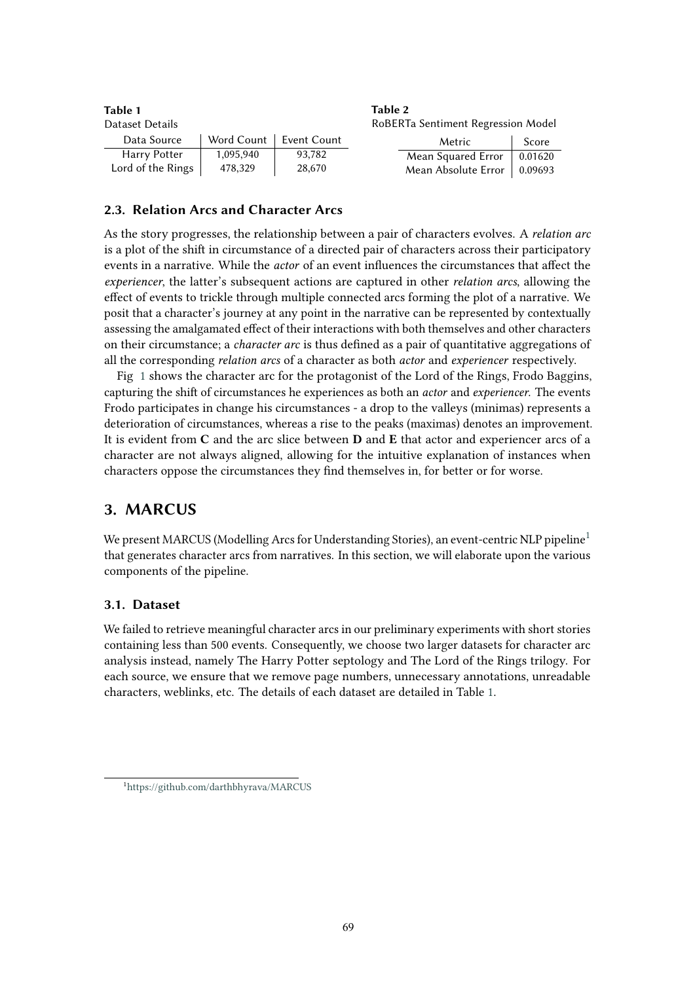<span id="page-2-1"></span>

| Table 1                                               |            |             | Table 2 |                     |         |
|-------------------------------------------------------|------------|-------------|---------|---------------------|---------|
| RoBERTa Sentiment Regression Model<br>Dataset Details |            |             |         |                     |         |
| Data Source                                           | Word Count | Event Count |         | Metric              | Score   |
| Harry Potter                                          | 1,095,940  | 93,782      |         | Mean Squared Error  | 0.01620 |
| Lord of the Rings                                     | 478,329    | 28,670      |         | Mean Absolute Error | 0.09693 |

### **2.3. Relation Arcs and Character Arcs**

As the story progresses, the relationship between a pair of characters evolves. A *relation arc* is a plot of the shif in circumstance of a directed pair of characters across their participatory events in a narrative. While the *actor* of an event infuences the circumstances that afect the *experiencer*, the latter's subsequent actions are captured in other *relation arcs*, allowing the efect of events to trickle through multiple connected arcs forming the plot of a narrative. We posit that a character's journey at any point in the narrative can be represented by contextually assessing the amalgamated efect of their interactions with both themselves and other characters on their circumstance; a *character arc* is thus defned as a pair of quantitative aggregations of all the corresponding *relation arcs* of a character as both *actor* and *experiencer* respectively.

Fig [1](#page-1-0) shows the character arc for the protagonist of the Lord of the Rings, Frodo Baggins, capturing the shif of circumstances he experiences as both an *actor* and *experiencer*. The events Frodo participates in change his circumstances - a drop to the valleys (minimas) represents a deterioration of circumstances, whereas a rise to the peaks (maximas) denotes an improvement. It is evident from **C** and the arc slice between **D** and **E** that actor and experiencer arcs of a character are not always aligned, allowing for the intuitive explanation of instances when characters oppose the circumstances they fnd themselves in, for better or for worse.

# **3. MARCUS**

We present MARCUS (Modelling Arcs for Understanding Stories), an event-centric NLP pipeline<sup>[1](#page-2-0)</sup> that generates character arcs from narratives. In this section, we will elaborate upon the various components of the pipeline.

### **3.1. Dataset**

We failed to retrieve meaningful character arcs in our preliminary experiments with short stories containing less than 500 events. Consequently, we choose two larger datasets for character arc analysis instead, namely The Harry Potter septology and The Lord of the Rings trilogy. For each source, we ensure that we remove page numbers, unnecessary annotations, unreadable characters, weblinks, etc. The details of each dataset are detailed in Table [1.](#page-2-1)

<span id="page-2-0"></span><sup>1</sup> <https://github.com/darthbhyrava/MARCUS>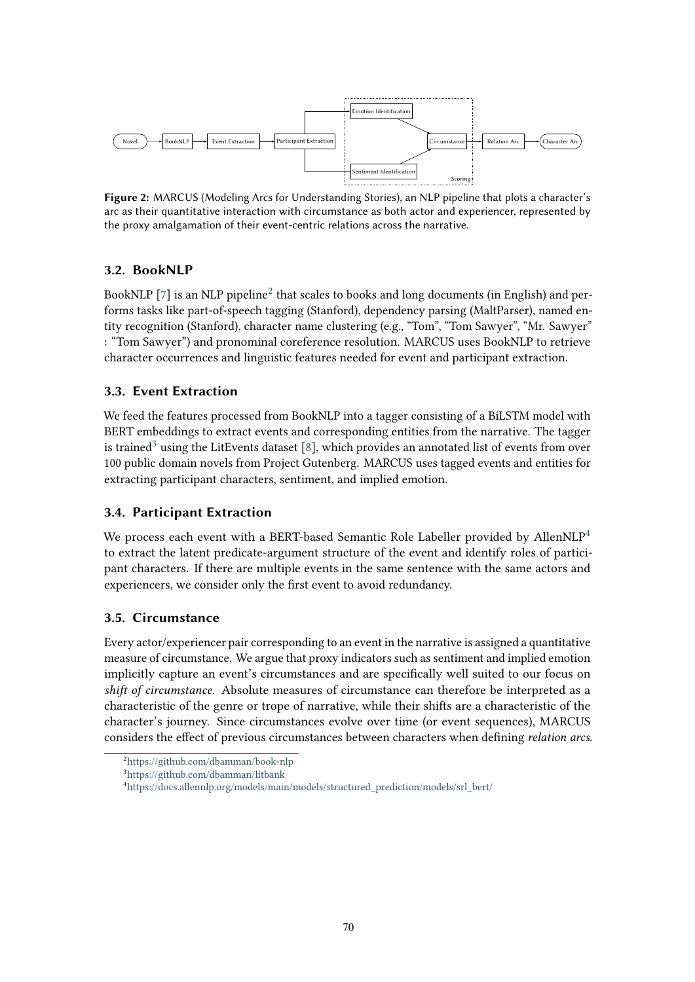

**Figure 2:** MARCUS (Modeling Arcs for Understanding Stories), an NLP pipeline that plots a character's arc as their quantitative interaction with circumstance as both actor and experiencer, represented by the proxy amalgamation of their event-centric relations across the narrative.

# **3.2. BookNLP**

BookNLP [\[7\]](#page-7-10) is an NLP pipeline<sup>[2](#page-3-0)</sup> that scales to books and long documents (in English) and performs tasks like part-of-speech tagging (Stanford), dependency parsing (MaltParser), named entity recognition (Stanford), character name clustering (e.g., "Tom", "Tom Sawyer", "Mr. Sawyer" : "Tom Sawyer") and pronominal coreference resolution. MARCUS uses BookNLP to retrieve character occurrences and linguistic features needed for event and participant extraction.

## <span id="page-3-3"></span>**3.3. Event Extraction**

We feed the features processed from BookNLP into a tagger consisting of a BiLSTM model with BERT embeddings to extract events and corresponding entities from the narrative. The tagger is trained<sup>[3](#page-3-1)</sup> using the LitEvents dataset [\[8\]](#page-7-8), which provides an annotated list of events from over 100 public domain novels from Project Gutenberg. MARCUS uses tagged events and entities for extracting participant characters, sentiment, and implied emotion.

### **3.4. Participant Extraction**

We process each event with a BERT-based Semantic Role Labeller provided by AllenNLP<sup>[4](#page-3-2)</sup> to extract the latent predicate-argument structure of the event and identify roles of participant characters. If there are multiple events in the same sentence with the same actors and experiencers, we consider only the frst event to avoid redundancy.

### **3.5. Circumstance**

Every actor/experiencer pair corresponding to an event in the narrative is assigned a quantitative measure of circumstance. We argue that proxy indicators such as sentiment and implied emotion implicitly capture an event's circumstances and are specifcally well suited to our focus on *shif of circumstance*. Absolute measures of circumstance can therefore be interpreted as a characteristic of the genre or trope of narrative, while their shifs are a characteristic of the character's journey. Since circumstances evolve over time (or event sequences), MARCUS considers the efect of previous circumstances between characters when defning *relation arcs*.

<span id="page-3-0"></span><sup>2</sup> <https://github.com/dbamman/book-nlp>

<span id="page-3-1"></span><sup>3</sup> <https://github.com/dbamman/litbank>

<span id="page-3-2"></span><sup>4</sup> [https://docs.allennlp.org/models/main/models/structured\\_prediction/models/srl\\_bert/](https://docs.allennlp.org/models/main/models/structured_prediction/models/srl_bert/)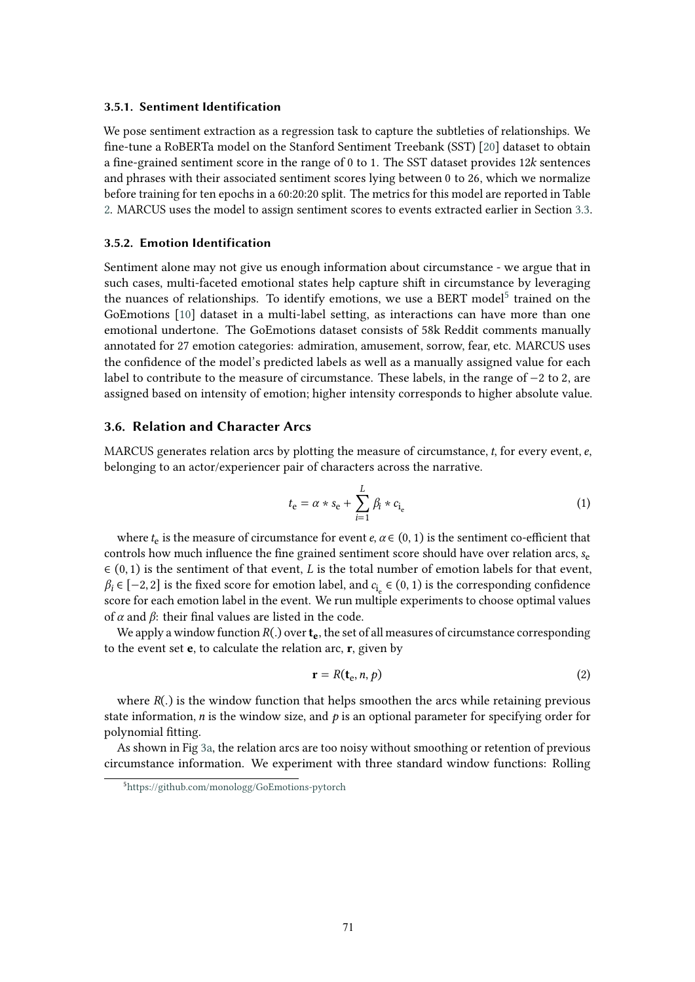#### **3.5.1. Sentiment Identification**

We pose sentiment extraction as a regression task to capture the subtleties of relationships. We fne-tune a RoBERTa model on the Stanford Sentiment Treebank (SST) [\[20\]](#page-7-11) dataset to obtain a fine-grained sentiment score in the range of  $0$  to 1. The SST dataset provides 12 $k$  sentences and phrases with their associated sentiment scores lying between 0 to 26, which we normalize before training for ten epochs in a 60:20:20 split. The metrics for this model are reported in Table [2.](#page-2-1) MARCUS uses the model to assign sentiment scores to events extracted earlier in Section [3.3.](#page-3-3)

#### **3.5.2. Emotion Identification**

Sentiment alone may not give us enough information about circumstance - we argue that in such cases, multi-faceted emotional states help capture shift in circumstance by leveraging the nuances of relationships. To identify emotions, we use a BERT model<sup>[5](#page-4-0)</sup> trained on the GoEmotions [\[10\]](#page-7-12) dataset in a multi-label setting, as interactions can have more than one emotional undertone. The GoEmotions dataset consists of 58k Reddit comments manually annotated for 27 emotion categories: admiration, amusement, sorrow, fear, etc. MARCUS uses the confdence of the model's predicted labels as well as a manually assigned value for each label to contribute to the measure of circumstance. These labels, in the range of −2 to 2, are assigned based on intensity of emotion; higher intensity corresponds to higher absolute value.

### **3.6. Relation and Character Arcs**

MARCUS generates relation arcs by plotting the measure of circumstance,  $t$ , for every event,  $e$ , belonging to an actor/experiencer pair of characters across the narrative.

$$
t_{\rm e} = \alpha \ast s_{\rm e} + \sum_{i=1}^{L} \beta_i \ast c_{i_{\rm e}} \tag{1}
$$

where  $t_e$  is the measure of circumstance for event  $e, \alpha \in (0, 1)$  is the sentiment co-efficient that controls how much influence the fine grained sentiment score should have over relation arcs,  $s_e$  $\in$  (0, 1) is the sentiment of that event, *L* is the total number of emotion labels for that event,  $\beta_i \in [-2, 2]$  is the fixed score for emotion label, and  $c_i \in (0, 1)$  is the corresponding confidence score for each emotion label in the event. We run multiple experiments to choose optimal values of  $\alpha$  and  $\beta$ : their final values are listed in the code.

We apply a window function  $R(.)$  over  $t_e$ , the set of all measures of circumstance corresponding to the event set **e**, to calculate the relation arc, **r**, given by

$$
\mathbf{r} = R(\mathbf{t}_{e}, n, p) \tag{2}
$$

where  $R(.)$  is the window function that helps smoothen the arcs while retaining previous state information, *n* is the window size, and  $p$  is an optional parameter for specifying order for polynomial ftting.

As shown in Fig [3a,](#page-5-0) the relation arcs are too noisy without smoothing or retention of previous circumstance information. We experiment with three standard window functions: Rolling

<span id="page-4-0"></span><sup>5</sup> <https://github.com/monologg/GoEmotions-pytorch>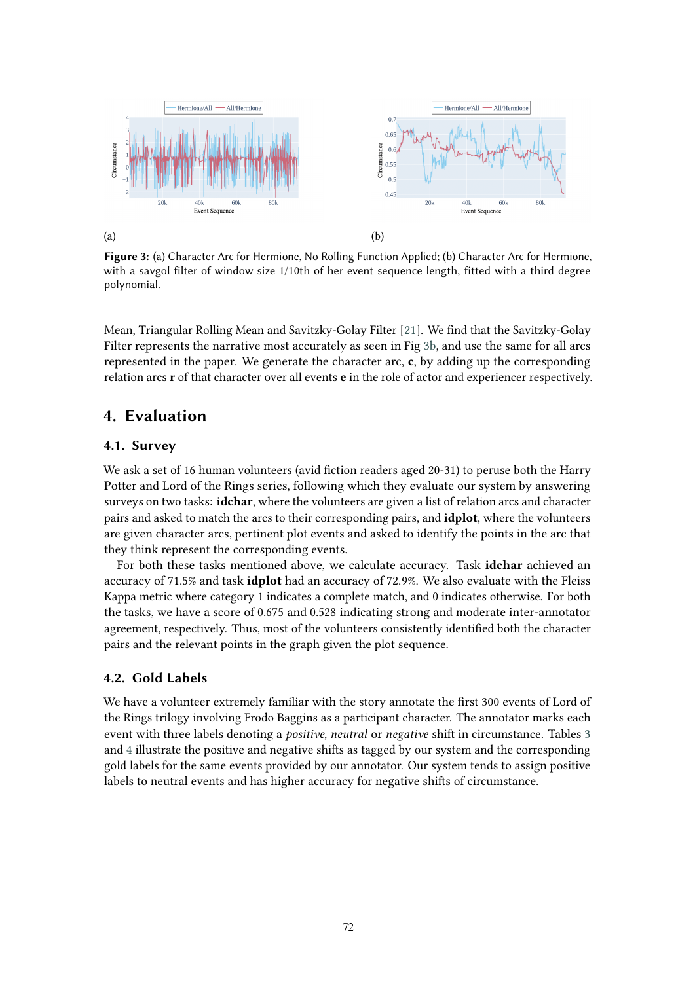<span id="page-5-0"></span>

**Figure 3:** (a) Character Arc for Hermione, No Rolling Function Applied; (b) Character Arc for Hermione, with a savgol filter of window size 1/10th of her event sequence length, fitted with a third degree polynomial.

Mean, Triangular Rolling Mean and Savitzky-Golay Filter [\[21\]](#page-7-13). We fnd that the Savitzky-Golay Filter represents the narrative most accurately as seen in Fig [3b,](#page-5-0) and use the same for all arcs represented in the paper. We generate the character arc, **c**, by adding up the corresponding relation arcs **r** of that character over all events **e** in the role of actor and experiencer respectively.

# **4. Evaluation**

# **4.1. Survey**

We ask a set of 16 human volunteers (avid fiction readers aged 20-31) to peruse both the Harry Potter and Lord of the Rings series, following which they evaluate our system by answering surveys on two tasks: **idchar**, where the volunteers are given a list of relation arcs and character pairs and asked to match the arcs to their corresponding pairs, and **idplot**, where the volunteers are given character arcs, pertinent plot events and asked to identify the points in the arc that they think represent the corresponding events.

For both these tasks mentioned above, we calculate accuracy. Task **idchar** achieved an accuracy of 71.5% and task **idplot** had an accuracy of 72.9%. We also evaluate with the Fleiss Kappa metric where category 1 indicates a complete match, and 0 indicates otherwise. For both the tasks, we have a score of 0.675 and 0.528 indicating strong and moderate inter-annotator agreement, respectively. Thus, most of the volunteers consistently identifed both the character pairs and the relevant points in the graph given the plot sequence.

#### **4.2. Gold Labels**

We have a volunteer extremely familiar with the story annotate the first 300 events of Lord of the Rings trilogy involving Frodo Baggins as a participant character. The annotator marks each event with three labels denoting a *positive*, *neutral* or *negative* shif in circumstance. Tables [3](#page-6-0) and [4](#page-6-0) illustrate the positive and negative shifs as tagged by our system and the corresponding gold labels for the same events provided by our annotator. Our system tends to assign positive labels to neutral events and has higher accuracy for negative shifs of circumstance.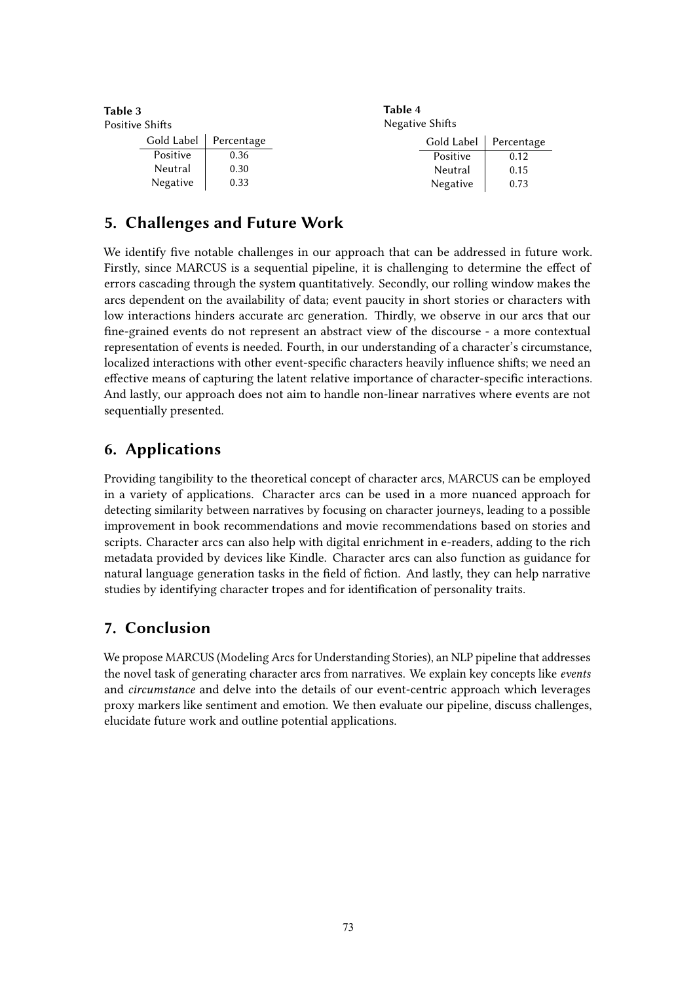<span id="page-6-0"></span>

| Table 3<br>Positive Shifts |            |            | Table 4<br>Negative Shifts |            |            |
|----------------------------|------------|------------|----------------------------|------------|------------|
|                            | Gold Label | Percentage |                            | Gold Label | Percentage |
|                            | Positive   | 0.36       |                            | Positive   | 0.12       |
|                            | Neutral    | 0.30       |                            | Neutral    | 0.15       |
|                            | Negative   | 0.33       |                            | Negative   | 0.73       |

# **5. Challenges and Future Work**

We identify fve notable challenges in our approach that can be addressed in future work. Firstly, since MARCUS is a sequential pipeline, it is challenging to determine the efect of errors cascading through the system quantitatively. Secondly, our rolling window makes the arcs dependent on the availability of data; event paucity in short stories or characters with low interactions hinders accurate arc generation. Thirdly, we observe in our arcs that our fne-grained events do not represent an abstract view of the discourse - a more contextual representation of events is needed. Fourth, in our understanding of a character's circumstance, localized interactions with other event-specifc characters heavily infuence shifs; we need an efective means of capturing the latent relative importance of character-specifc interactions. And lastly, our approach does not aim to handle non-linear narratives where events are not sequentially presented.

# **6. Applications**

Providing tangibility to the theoretical concept of character arcs, MARCUS can be employed in a variety of applications. Character arcs can be used in a more nuanced approach for detecting similarity between narratives by focusing on character journeys, leading to a possible improvement in book recommendations and movie recommendations based on stories and scripts. Character arcs can also help with digital enrichment in e-readers, adding to the rich metadata provided by devices like Kindle. Character arcs can also function as guidance for natural language generation tasks in the field of fiction. And lastly, they can help narrative studies by identifying character tropes and for identifcation of personality traits.

# **7. Conclusion**

We propose MARCUS (Modeling Arcs for Understanding Stories), an NLP pipeline that addresses the novel task of generating character arcs from narratives. We explain key concepts like *events* and *circumstance* and delve into the details of our event-centric approach which leverages proxy markers like sentiment and emotion. We then evaluate our pipeline, discuss challenges, elucidate future work and outline potential applications.